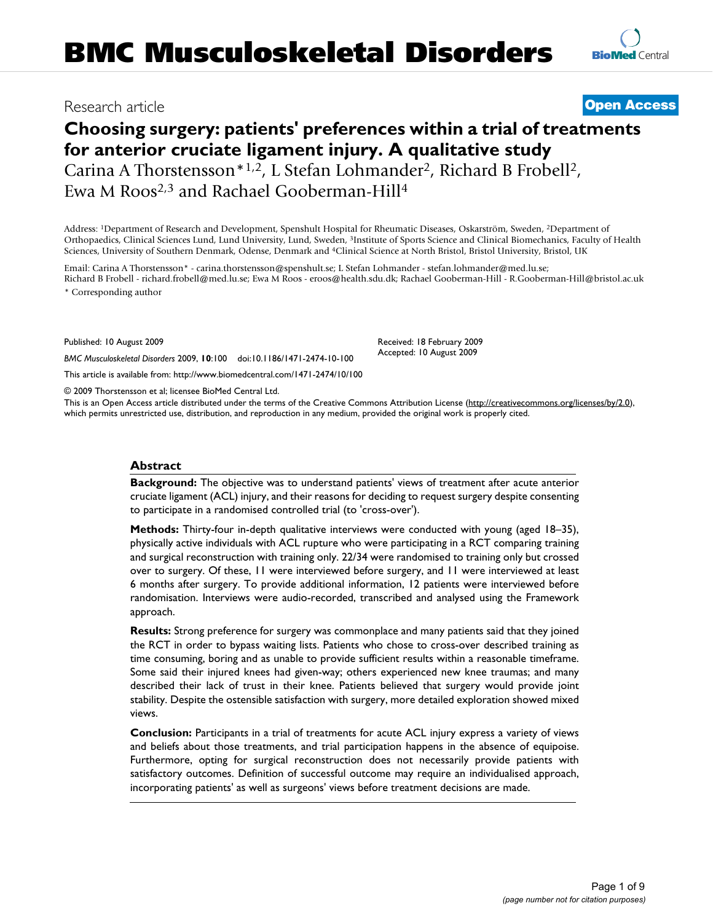# Research article **[Open Access](http://www.biomedcentral.com/info/about/charter/)**

# **Choosing surgery: patients' preferences within a trial of treatments for anterior cruciate ligament injury. A qualitative study** Carina A Thorstensson<sup>\*1,2</sup>, L Stefan Lohmander<sup>2</sup>, Richard B Frobell<sup>2</sup>,

Ewa M Roos2,3 and Rachael Gooberman-Hill4

Address: 1Department of Research and Development, Spenshult Hospital for Rheumatic Diseases, Oskarström, Sweden, 2Department of Orthopaedics, Clinical Sciences Lund, Lund University, Lund, Sweden, 3Institute of Sports Science and Clinical Biomechanics, Faculty of Health Sciences, University of Southern Denmark, Odense, Denmark and 4Clinical Science at North Bristol, Bristol University, Bristol, UK

Email: Carina A Thorstensson\* - carina.thorstensson@spenshult.se; L Stefan Lohmander - stefan.lohmander@med.lu.se; Richard B Frobell - richard.frobell@med.lu.se; Ewa M Roos - eroos@health.sdu.dk; Rachael Gooberman-Hill - R.Gooberman-Hill@bristol.ac.uk \* Corresponding author

Published: 10 August 2009

Received: 18 February 2009 Accepted: 10 August 2009

© 2009 Thorstensson et al; licensee BioMed Central Ltd.

*BMC Musculoskeletal Disorders* 2009, **10**:100 doi:10.1186/1471-2474-10-100

[This article is available from: http://www.biomedcentral.com/1471-2474/10/100](http://www.biomedcentral.com/1471-2474/10/100)

This is an Open Access article distributed under the terms of the Creative Commons Attribution License [\(http://creativecommons.org/licenses/by/2.0\)](http://creativecommons.org/licenses/by/2.0), which permits unrestricted use, distribution, and reproduction in any medium, provided the original work is properly cited.

#### **Abstract**

**Background:** The objective was to understand patients' views of treatment after acute anterior cruciate ligament (ACL) injury, and their reasons for deciding to request surgery despite consenting to participate in a randomised controlled trial (to 'cross-over').

**Methods:** Thirty-four in-depth qualitative interviews were conducted with young (aged 18–35), physically active individuals with ACL rupture who were participating in a RCT comparing training and surgical reconstruction with training only. 22/34 were randomised to training only but crossed over to surgery. Of these, 11 were interviewed before surgery, and 11 were interviewed at least 6 months after surgery. To provide additional information, 12 patients were interviewed before randomisation. Interviews were audio-recorded, transcribed and analysed using the Framework approach.

**Results:** Strong preference for surgery was commonplace and many patients said that they joined the RCT in order to bypass waiting lists. Patients who chose to cross-over described training as time consuming, boring and as unable to provide sufficient results within a reasonable timeframe. Some said their injured knees had given-way; others experienced new knee traumas; and many described their lack of trust in their knee. Patients believed that surgery would provide joint stability. Despite the ostensible satisfaction with surgery, more detailed exploration showed mixed views.

**Conclusion:** Participants in a trial of treatments for acute ACL injury express a variety of views and beliefs about those treatments, and trial participation happens in the absence of equipoise. Furthermore, opting for surgical reconstruction does not necessarily provide patients with satisfactory outcomes. Definition of successful outcome may require an individualised approach, incorporating patients' as well as surgeons' views before treatment decisions are made.

**[BioMed](http://www.biomedcentral.com/)** Central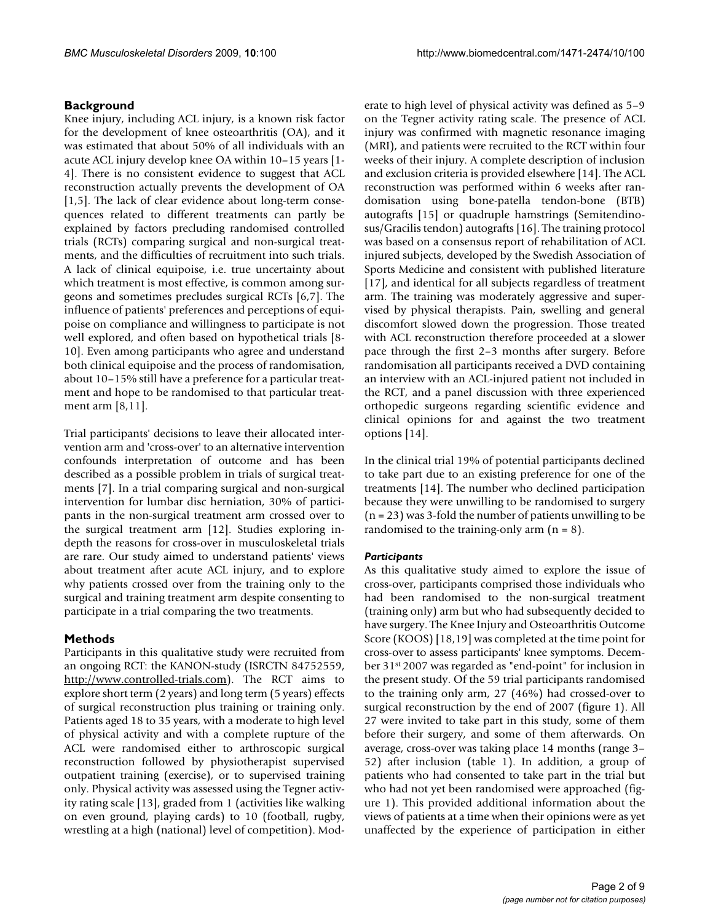# **Background**

Knee injury, including ACL injury, is a known risk factor for the development of knee osteoarthritis (OA), and it was estimated that about 50% of all individuals with an acute ACL injury develop knee OA within 10–15 years [[1](#page-7-0)- [4\]](#page-7-1). There is no consistent evidence to suggest that ACL reconstruction actually prevents the development of OA [[1](#page-7-0)[,5\]](#page-7-2). The lack of clear evidence about long-term consequences related to different treatments can partly be explained by factors precluding randomised controlled trials (RCTs) comparing surgical and non-surgical treatments, and the difficulties of recruitment into such trials. A lack of clinical equipoise, i.e. true uncertainty about which treatment is most effective, is common among surgeons and sometimes precludes surgical RCTs [\[6](#page-7-3),[7](#page-7-4)]. The influence of patients' preferences and perceptions of equipoise on compliance and willingness to participate is not well explored, and often based on hypothetical trials [[8](#page-7-5)- [10\]](#page-7-6). Even among participants who agree and understand both clinical equipoise and the process of randomisation, about 10–15% still have a preference for a particular treatment and hope to be randomised to that particular treatment arm [\[8](#page-7-5)[,11](#page-7-7)].

Trial participants' decisions to leave their allocated intervention arm and 'cross-over' to an alternative intervention confounds interpretation of outcome and has been described as a possible problem in trials of surgical treatments [\[7\]](#page-7-4). In a trial comparing surgical and non-surgical intervention for lumbar disc herniation, 30% of participants in the non-surgical treatment arm crossed over to the surgical treatment arm [\[12\]](#page-7-8). Studies exploring indepth the reasons for cross-over in musculoskeletal trials are rare. Our study aimed to understand patients' views about treatment after acute ACL injury, and to explore why patients crossed over from the training only to the surgical and training treatment arm despite consenting to participate in a trial comparing the two treatments.

# **Methods**

Participants in this qualitative study were recruited from an ongoing RCT: the KANON-study (ISRCTN 84752559, [http://www.controlled-trials.com\)](http://www.controlled-trials.com). The RCT aims to explore short term (2 years) and long term (5 years) effects of surgical reconstruction plus training or training only. Patients aged 18 to 35 years, with a moderate to high level of physical activity and with a complete rupture of the ACL were randomised either to arthroscopic surgical reconstruction followed by physiotherapist supervised outpatient training (exercise), or to supervised training only. Physical activity was assessed using the Tegner activity rating scale [\[13\]](#page-7-9), graded from 1 (activities like walking on even ground, playing cards) to 10 (football, rugby, wrestling at a high (national) level of competition). Moderate to high level of physical activity was defined as 5–9 on the Tegner activity rating scale. The presence of ACL injury was confirmed with magnetic resonance imaging (MRI), and patients were recruited to the RCT within four weeks of their injury. A complete description of inclusion and exclusion criteria is provided elsewhere [[14](#page-7-10)]. The ACL reconstruction was performed within 6 weeks after randomisation using bone-patella tendon-bone (BTB) autografts [\[15](#page-7-11)] or quadruple hamstrings (Semitendinosus/Gracilis tendon) autografts [[16\]](#page-7-12). The training protocol was based on a consensus report of rehabilitation of ACL injured subjects, developed by the Swedish Association of Sports Medicine and consistent with published literature [[17](#page-7-13)], and identical for all subjects regardless of treatment arm. The training was moderately aggressive and supervised by physical therapists. Pain, swelling and general discomfort slowed down the progression. Those treated with ACL reconstruction therefore proceeded at a slower pace through the first 2–3 months after surgery. Before randomisation all participants received a DVD containing an interview with an ACL-injured patient not included in the RCT, and a panel discussion with three experienced orthopedic surgeons regarding scientific evidence and clinical opinions for and against the two treatment options [\[14](#page-7-10)].

In the clinical trial 19% of potential participants declined to take part due to an existing preference for one of the treatments [\[14\]](#page-7-10). The number who declined participation because they were unwilling to be randomised to surgery (n = 23) was 3-fold the number of patients unwilling to be randomised to the training-only arm  $(n = 8)$ .

# *Participants*

As this qualitative study aimed to explore the issue of cross-over, participants comprised those individuals who had been randomised to the non-surgical treatment (training only) arm but who had subsequently decided to have surgery. The Knee Injury and Osteoarthritis Outcome Score (KOOS) [[18,](#page-7-14)[19\]](#page-7-15) was completed at the time point for cross-over to assess participants' knee symptoms. December 31st 2007 was regarded as "end-point" for inclusion in the present study. Of the 59 trial participants randomised to the training only arm, 27 (46%) had crossed-over to surgical reconstruction by the end of 2007 (figure [1\)](#page-2-0). All 27 were invited to take part in this study, some of them before their surgery, and some of them afterwards. On average, cross-over was taking place 14 months (range 3– 52) after inclusion (table [1](#page-3-0)). In addition, a group of patients who had consented to take part in the trial but who had not yet been randomised were approached (figure [1\)](#page-2-0). This provided additional information about the views of patients at a time when their opinions were as yet unaffected by the experience of participation in either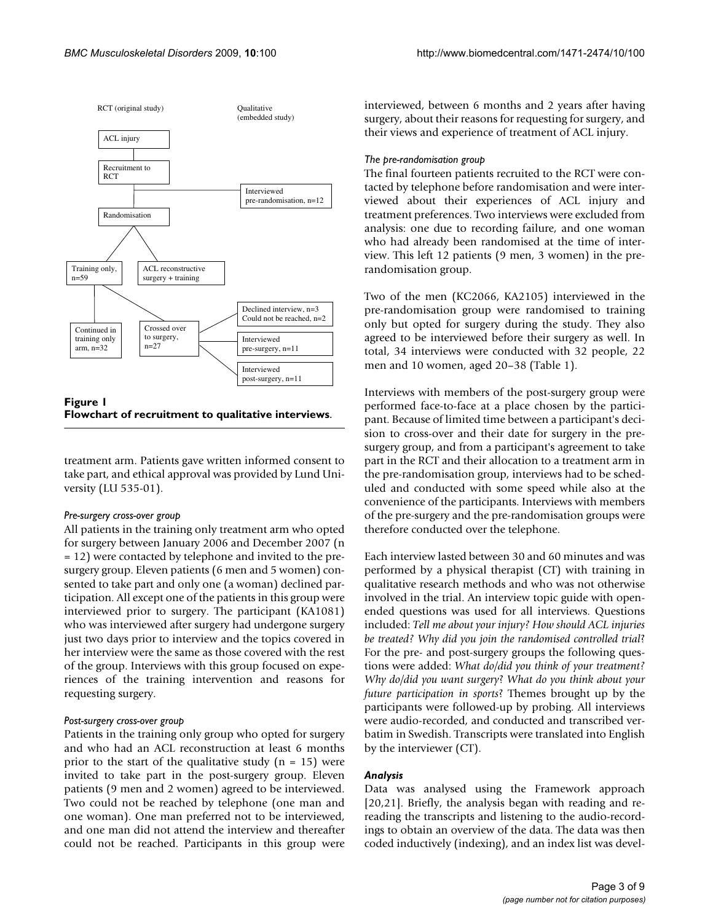<span id="page-2-0"></span>

| Figure I                                            |  |
|-----------------------------------------------------|--|
| Flowchart of recruitment to qualitative interviews. |  |

treatment arm. Patients gave written informed consent to take part, and ethical approval was provided by Lund University (LU 535-01).

#### *Pre-surgery cross-over group*

All patients in the training only treatment arm who opted for surgery between January 2006 and December 2007 (n = 12) were contacted by telephone and invited to the presurgery group. Eleven patients (6 men and 5 women) consented to take part and only one (a woman) declined participation. All except one of the patients in this group were interviewed prior to surgery. The participant (KA1081) who was interviewed after surgery had undergone surgery just two days prior to interview and the topics covered in her interview were the same as those covered with the rest of the group. Interviews with this group focused on experiences of the training intervention and reasons for requesting surgery.

# *Post-surgery cross-over group*

Patients in the training only group who opted for surgery and who had an ACL reconstruction at least 6 months prior to the start of the qualitative study  $(n = 15)$  were invited to take part in the post-surgery group. Eleven patients (9 men and 2 women) agreed to be interviewed. Two could not be reached by telephone (one man and one woman). One man preferred not to be interviewed, and one man did not attend the interview and thereafter could not be reached. Participants in this group were

interviewed, between 6 months and 2 years after having surgery, about their reasons for requesting for surgery, and their views and experience of treatment of ACL injury.

### *The pre-randomisation group*

The final fourteen patients recruited to the RCT were contacted by telephone before randomisation and were interviewed about their experiences of ACL injury and treatment preferences. Two interviews were excluded from analysis: one due to recording failure, and one woman who had already been randomised at the time of interview. This left 12 patients (9 men, 3 women) in the prerandomisation group.

Two of the men (KC2066, KA2105) interviewed in the pre-randomisation group were randomised to training only but opted for surgery during the study. They also agreed to be interviewed before their surgery as well. In total, 34 interviews were conducted with 32 people, 22 men and 10 women, aged 20–38 (Table [1\)](#page-3-0).

Interviews with members of the post-surgery group were performed face-to-face at a place chosen by the participant. Because of limited time between a participant's decision to cross-over and their date for surgery in the presurgery group, and from a participant's agreement to take part in the RCT and their allocation to a treatment arm in the pre-randomisation group, interviews had to be scheduled and conducted with some speed while also at the convenience of the participants. Interviews with members of the pre-surgery and the pre-randomisation groups were therefore conducted over the telephone.

Each interview lasted between 30 and 60 minutes and was performed by a physical therapist (CT) with training in qualitative research methods and who was not otherwise involved in the trial. An interview topic guide with openended questions was used for all interviews. Questions included: *Tell me about your injury? How should ACL injuries be treated? Why did you join the randomised controlled trial*? For the pre- and post-surgery groups the following questions were added: *What do/did you think of your treatment? Why do/did you want surgery*? *What do you think about your future participation in sports*? Themes brought up by the participants were followed-up by probing. All interviews were audio-recorded, and conducted and transcribed verbatim in Swedish. Transcripts were translated into English by the interviewer (CT).

# *Analysis*

Data was analysed using the Framework approach [[20](#page-7-16),[21\]](#page-7-17). Briefly, the analysis began with reading and rereading the transcripts and listening to the audio-recordings to obtain an overview of the data. The data was then coded inductively (indexing), and an index list was devel-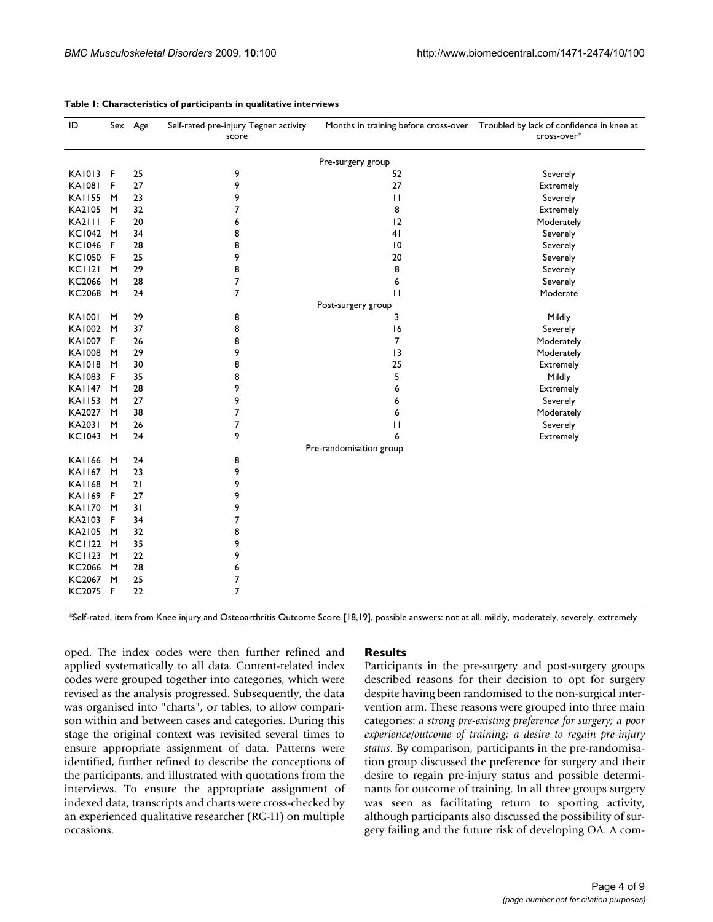| ID                      |   | Sex Age | Self-rated pre-injury Tegner activity<br>score |                    | Months in training before cross-over  Troubled by lack of confidence in knee at<br>cross-over* |
|-------------------------|---|---------|------------------------------------------------|--------------------|------------------------------------------------------------------------------------------------|
| Pre-surgery group       |   |         |                                                |                    |                                                                                                |
| <b>KA1013</b>           | F | 25      | 9                                              | 52                 | Severely                                                                                       |
| <b>KA1081</b>           | F | 27      | 9                                              | 27                 | <b>Extremely</b>                                                                               |
| <b>KAI155</b>           | M | 23      | 9                                              | $\mathbf{H}$       | Severely                                                                                       |
| KA2105                  | M | 32      | 7                                              | 8                  | Extremely                                                                                      |
| <b>KA2111</b>           | F | 20      | 6                                              | 12                 | Moderately                                                                                     |
| <b>KC1042</b>           | M | 34      | 8                                              | 41                 | Severely                                                                                       |
| <b>KC1046</b>           | F | 28      | 8                                              | $\overline{10}$    | Severely                                                                                       |
| <b>KC1050</b>           | F | 25      | 9                                              | 20                 | Severely                                                                                       |
| <b>KC1121</b>           | M | 29      | 8                                              | 8                  | Severely                                                                                       |
| KC2066                  | M | 28      | 7                                              | 6                  | Severely                                                                                       |
| KC2068                  | M | 24      | $\boldsymbol{7}$                               | $\mathbf{H}$       | Moderate                                                                                       |
|                         |   |         |                                                | Post-surgery group |                                                                                                |
| <b>KA1001</b>           | M | 29      | 8                                              | 3                  | Mildly                                                                                         |
| KA1002                  | M | 37      | 8                                              | 16                 | Severely                                                                                       |
| <b>KA1007</b>           | F | 26      | 8                                              | 7                  | Moderately                                                                                     |
| <b>KA1008</b>           | M | 29      | 9                                              | 13                 | Moderately                                                                                     |
| <b>KA1018</b>           | M | 30      | 8                                              | 25                 | Extremely                                                                                      |
| KA1083                  | F | 35      | 8                                              | 5                  | Mildly                                                                                         |
| <b>KAI147</b>           | M | 28      | 9                                              | 6                  | Extremely                                                                                      |
| <b>KA1153</b>           | M | 27      | 9                                              | 6                  | Severely                                                                                       |
| KA2027                  | M | 38      | 7                                              | 6                  | Moderately                                                                                     |
| KA2031                  | M | 26      | 7                                              | $\mathbf{H}$       | Severely                                                                                       |
| <b>KC1043</b>           | M | 24      | 9                                              | 6                  | Extremely                                                                                      |
| Pre-randomisation group |   |         |                                                |                    |                                                                                                |
| <b>KAI166</b>           | M | 24      | 8                                              |                    |                                                                                                |
| <b>KAI167</b>           | M | 23      | 9                                              |                    |                                                                                                |
| <b>KAI168</b>           | M | 21      | 9                                              |                    |                                                                                                |
| <b>KAI169</b>           | F | 27      | 9                                              |                    |                                                                                                |
| <b>KAI170</b>           | M | 31      | 9                                              |                    |                                                                                                |
| KA2103                  | F | 34      | 7                                              |                    |                                                                                                |
| KA2105                  | M | 32      | 8                                              |                    |                                                                                                |
| <b>KC1122</b>           | M | 35      | 9                                              |                    |                                                                                                |
| <b>KC1123</b>           | M | 22      | 9                                              |                    |                                                                                                |
| KC2066                  | M | 28      | 6                                              |                    |                                                                                                |
| KC2067                  | M | 25      | 7                                              |                    |                                                                                                |
| KC2075 F                |   | 22      | $\overline{7}$                                 |                    |                                                                                                |

#### <span id="page-3-0"></span>**Table 1: Characteristics of participants in qualitative interviews**

\*Self-rated, item from Knee injury and Osteoarthritis Outcome Score [[18,](#page-7-14)[19\]](#page-7-15), possible answers: not at all, mildly, moderately, severely, extremely

oped. The index codes were then further refined and applied systematically to all data. Content-related index codes were grouped together into categories, which were revised as the analysis progressed. Subsequently, the data was organised into "charts", or tables, to allow comparison within and between cases and categories. During this stage the original context was revisited several times to ensure appropriate assignment of data. Patterns were identified, further refined to describe the conceptions of the participants, and illustrated with quotations from the interviews. To ensure the appropriate assignment of indexed data, transcripts and charts were cross-checked by an experienced qualitative researcher (RG-H) on multiple occasions.

#### **Results**

Participants in the pre-surgery and post-surgery groups described reasons for their decision to opt for surgery despite having been randomised to the non-surgical intervention arm. These reasons were grouped into three main categories: *a strong pre-existing preference for surgery; a poor experience/outcome of training; a desire to regain pre-injury status*. By comparison, participants in the pre-randomisation group discussed the preference for surgery and their desire to regain pre-injury status and possible determinants for outcome of training. In all three groups surgery was seen as facilitating return to sporting activity, although participants also discussed the possibility of surgery failing and the future risk of developing OA. A com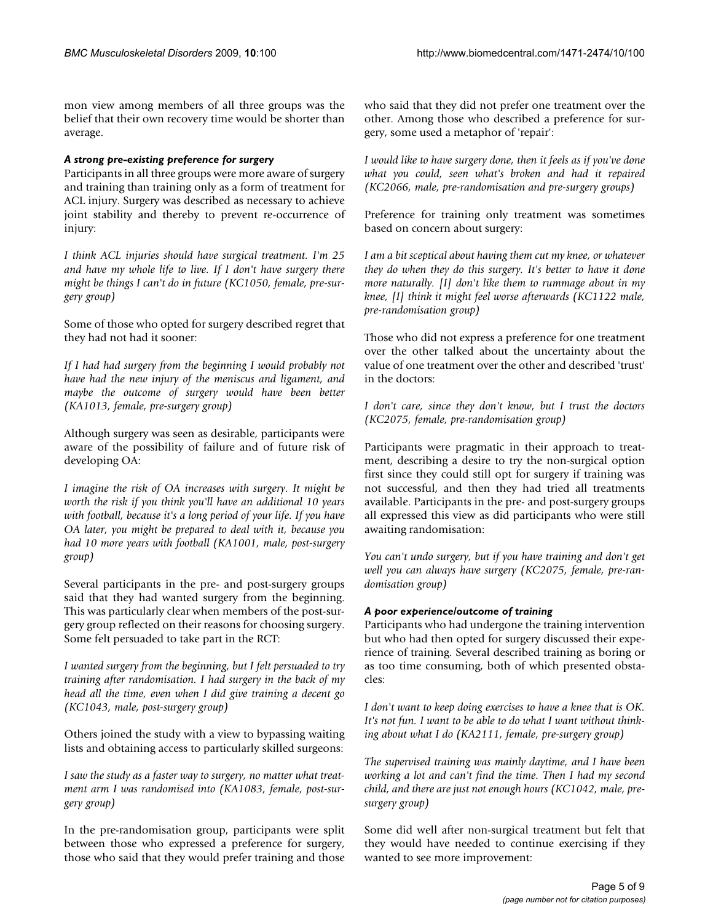mon view among members of all three groups was the belief that their own recovery time would be shorter than average.

# *A strong pre-existing preference for surgery*

Participants in all three groups were more aware of surgery and training than training only as a form of treatment for ACL injury. Surgery was described as necessary to achieve joint stability and thereby to prevent re-occurrence of injury:

*I think ACL injuries should have surgical treatment. I'm 25 and have my whole life to live. If I don't have surgery there might be things I can't do in future (KC1050, female, pre-surgery group)*

Some of those who opted for surgery described regret that they had not had it sooner:

*If I had had surgery from the beginning I would probably not have had the new injury of the meniscus and ligament, and maybe the outcome of surgery would have been better (KA1013, female, pre-surgery group)*

Although surgery was seen as desirable, participants were aware of the possibility of failure and of future risk of developing OA:

*I imagine the risk of OA increases with surgery. It might be worth the risk if you think you'll have an additional 10 years with football, because it's a long period of your life. If you have OA later, you might be prepared to deal with it, because you had 10 more years with football (KA1001, male, post-surgery group)*

Several participants in the pre- and post-surgery groups said that they had wanted surgery from the beginning. This was particularly clear when members of the post-surgery group reflected on their reasons for choosing surgery. Some felt persuaded to take part in the RCT:

*I wanted surgery from the beginning, but I felt persuaded to try training after randomisation. I had surgery in the back of my head all the time, even when I did give training a decent go (KC1043, male, post-surgery group)*

Others joined the study with a view to bypassing waiting lists and obtaining access to particularly skilled surgeons:

*I saw the study as a faster way to surgery, no matter what treatment arm I was randomised into (KA1083, female, post-surgery group)*

In the pre-randomisation group, participants were split between those who expressed a preference for surgery, those who said that they would prefer training and those who said that they did not prefer one treatment over the other. Among those who described a preference for surgery, some used a metaphor of 'repair':

*I would like to have surgery done, then it feels as if you've done what you could, seen what's broken and had it repaired (KC2066, male, pre-randomisation and pre-surgery groups)*

Preference for training only treatment was sometimes based on concern about surgery:

*I am a bit sceptical about having them cut my knee, or whatever they do when they do this surgery. It's better to have it done more naturally. [I] don't like them to rummage about in my knee, [I] think it might feel worse afterwards (KC1122 male, pre-randomisation group)*

Those who did not express a preference for one treatment over the other talked about the uncertainty about the value of one treatment over the other and described 'trust' in the doctors:

*I don't care, since they don't know, but I trust the doctors (KC2075, female, pre-randomisation group)*

Participants were pragmatic in their approach to treatment, describing a desire to try the non-surgical option first since they could still opt for surgery if training was not successful, and then they had tried all treatments available. Participants in the pre- and post-surgery groups all expressed this view as did participants who were still awaiting randomisation:

*You can't undo surgery, but if you have training and don't get well you can always have surgery (KC2075, female, pre-randomisation group)*

# *A poor experience/outcome of training*

Participants who had undergone the training intervention but who had then opted for surgery discussed their experience of training. Several described training as boring or as too time consuming, both of which presented obstacles:

*I don't want to keep doing exercises to have a knee that is OK. It's not fun. I want to be able to do what I want without thinking about what I do (KA2111, female, pre-surgery group)*

*The supervised training was mainly daytime, and I have been working a lot and can't find the time. Then I had my second child, and there are just not enough hours (KC1042, male, presurgery group)*

Some did well after non-surgical treatment but felt that they would have needed to continue exercising if they wanted to see more improvement: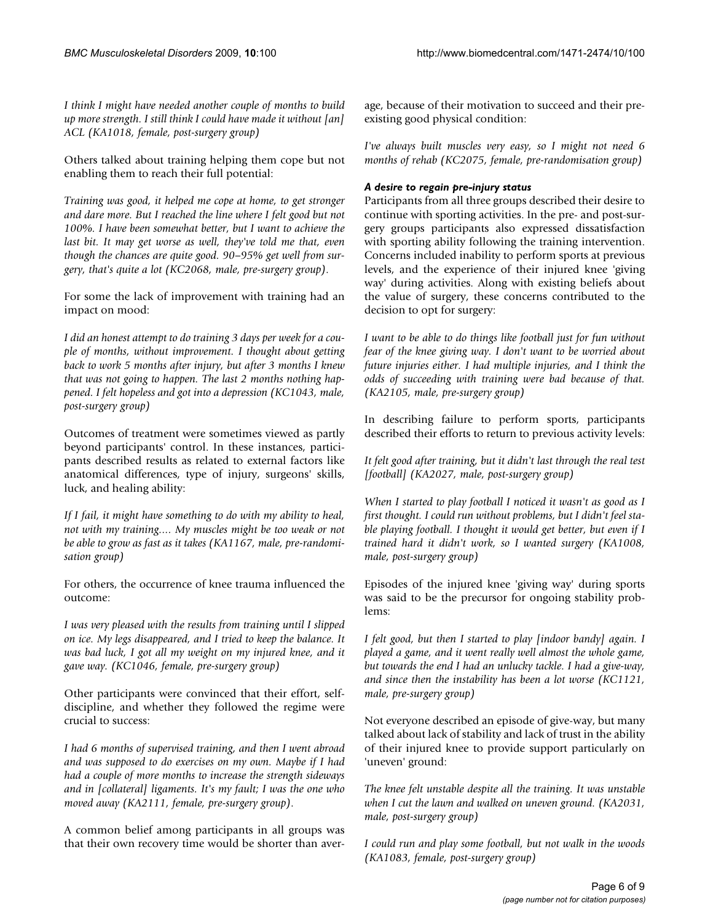*I think I might have needed another couple of months to build up more strength. I still think I could have made it without [an] ACL (KA1018, female, post-surgery group)*

Others talked about training helping them cope but not enabling them to reach their full potential:

*Training was good, it helped me cope at home, to get stronger and dare more. But I reached the line where I felt good but not 100%. I have been somewhat better, but I want to achieve the last bit. It may get worse as well, they've told me that, even though the chances are quite good. 90–95% get well from surgery, that's quite a lot (KC2068, male, pre-surgery group)*.

For some the lack of improvement with training had an impact on mood:

*I did an honest attempt to do training 3 days per week for a couple of months, without improvement. I thought about getting back to work 5 months after injury, but after 3 months I knew that was not going to happen. The last 2 months nothing happened. I felt hopeless and got into a depression (KC1043, male, post-surgery group)*

Outcomes of treatment were sometimes viewed as partly beyond participants' control. In these instances, participants described results as related to external factors like anatomical differences, type of injury, surgeons' skills, luck, and healing ability:

*If I fail, it might have something to do with my ability to heal, not with my training.... My muscles might be too weak or not be able to grow as fast as it takes (KA1167, male, pre-randomisation group)*

For others, the occurrence of knee trauma influenced the outcome:

*I was very pleased with the results from training until I slipped on ice. My legs disappeared, and I tried to keep the balance. It was bad luck, I got all my weight on my injured knee, and it gave way. (KC1046, female, pre-surgery group)*

Other participants were convinced that their effort, selfdiscipline, and whether they followed the regime were crucial to success:

*I had 6 months of supervised training, and then I went abroad and was supposed to do exercises on my own. Maybe if I had had a couple of more months to increase the strength sideways and in [collateral] ligaments. It's my fault; I was the one who moved away (KA2111, female, pre-surgery group)*.

A common belief among participants in all groups was that their own recovery time would be shorter than average, because of their motivation to succeed and their preexisting good physical condition:

*I've always built muscles very easy, so I might not need 6 months of rehab (KC2075, female, pre-randomisation group)*

# *A desire to regain pre-injury status*

Participants from all three groups described their desire to continue with sporting activities. In the pre- and post-surgery groups participants also expressed dissatisfaction with sporting ability following the training intervention. Concerns included inability to perform sports at previous levels, and the experience of their injured knee 'giving way' during activities. Along with existing beliefs about the value of surgery, these concerns contributed to the decision to opt for surgery:

*I want to be able to do things like football just for fun without fear of the knee giving way. I don't want to be worried about future injuries either. I had multiple injuries, and I think the odds of succeeding with training were bad because of that. (KA2105, male, pre-surgery group)*

In describing failure to perform sports, participants described their efforts to return to previous activity levels:

*It felt good after training, but it didn't last through the real test [football] (KA2027, male, post-surgery group)*

*When I started to play football I noticed it wasn't as good as I first thought. I could run without problems, but I didn't feel stable playing football. I thought it would get better, but even if I trained hard it didn't work, so I wanted surgery (KA1008, male, post-surgery group)*

Episodes of the injured knee 'giving way' during sports was said to be the precursor for ongoing stability problems:

*I felt good, but then I started to play [indoor bandy] again. I played a game, and it went really well almost the whole game, but towards the end I had an unlucky tackle. I had a give-way, and since then the instability has been a lot worse (KC1121, male, pre-surgery group)*

Not everyone described an episode of give-way, but many talked about lack of stability and lack of trust in the ability of their injured knee to provide support particularly on 'uneven' ground:

*The knee felt unstable despite all the training. It was unstable when I cut the lawn and walked on uneven ground. (KA2031, male, post-surgery group)*

*I could run and play some football, but not walk in the woods (KA1083, female, post-surgery group)*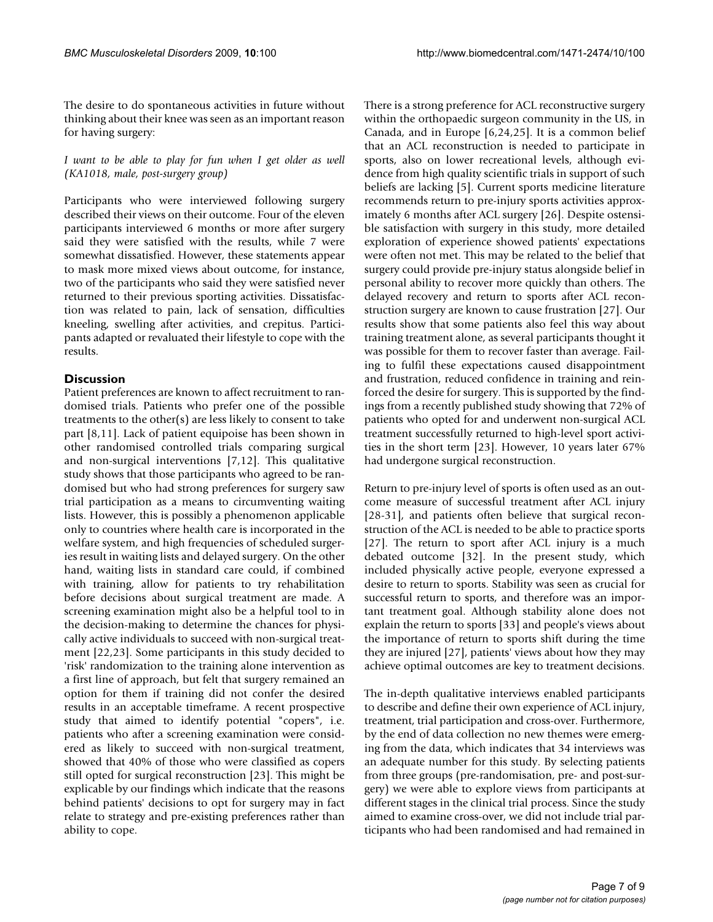The desire to do spontaneous activities in future without thinking about their knee was seen as an important reason for having surgery:

*I want to be able to play for fun when I get older as well (KA1018, male, post-surgery group)*

Participants who were interviewed following surgery described their views on their outcome. Four of the eleven participants interviewed 6 months or more after surgery said they were satisfied with the results, while 7 were somewhat dissatisfied. However, these statements appear to mask more mixed views about outcome, for instance, two of the participants who said they were satisfied never returned to their previous sporting activities. Dissatisfaction was related to pain, lack of sensation, difficulties kneeling, swelling after activities, and crepitus. Participants adapted or revaluated their lifestyle to cope with the results.

# **Discussion**

Patient preferences are known to affect recruitment to randomised trials. Patients who prefer one of the possible treatments to the other(s) are less likely to consent to take part [\[8,](#page-7-5)[11](#page-7-7)]. Lack of patient equipoise has been shown in other randomised controlled trials comparing surgical and non-surgical interventions [[7](#page-7-4)[,12](#page-7-8)]. This qualitative study shows that those participants who agreed to be randomised but who had strong preferences for surgery saw trial participation as a means to circumventing waiting lists. However, this is possibly a phenomenon applicable only to countries where health care is incorporated in the welfare system, and high frequencies of scheduled surgeries result in waiting lists and delayed surgery. On the other hand, waiting lists in standard care could, if combined with training, allow for patients to try rehabilitation before decisions about surgical treatment are made. A screening examination might also be a helpful tool to in the decision-making to determine the chances for physically active individuals to succeed with non-surgical treatment [[22](#page-7-18),[23\]](#page-7-19). Some participants in this study decided to 'risk' randomization to the training alone intervention as a first line of approach, but felt that surgery remained an option for them if training did not confer the desired results in an acceptable timeframe. A recent prospective study that aimed to identify potential "copers", i.e. patients who after a screening examination were considered as likely to succeed with non-surgical treatment, showed that 40% of those who were classified as copers still opted for surgical reconstruction [[23\]](#page-7-19). This might be explicable by our findings which indicate that the reasons behind patients' decisions to opt for surgery may in fact relate to strategy and pre-existing preferences rather than ability to cope.

There is a strong preference for ACL reconstructive surgery within the orthopaedic surgeon community in the US, in Canada, and in Europe [[6](#page-7-3)[,24](#page-7-20),[25\]](#page-7-21). It is a common belief that an ACL reconstruction is needed to participate in sports, also on lower recreational levels, although evidence from high quality scientific trials in support of such beliefs are lacking [[5](#page-7-2)]. Current sports medicine literature recommends return to pre-injury sports activities approximately 6 months after ACL surgery [[26\]](#page-8-0). Despite ostensible satisfaction with surgery in this study, more detailed exploration of experience showed patients' expectations were often not met. This may be related to the belief that surgery could provide pre-injury status alongside belief in personal ability to recover more quickly than others. The delayed recovery and return to sports after ACL reconstruction surgery are known to cause frustration [[27\]](#page-8-1). Our results show that some patients also feel this way about training treatment alone, as several participants thought it was possible for them to recover faster than average. Failing to fulfil these expectations caused disappointment and frustration, reduced confidence in training and reinforced the desire for surgery. This is supported by the findings from a recently published study showing that 72% of patients who opted for and underwent non-surgical ACL treatment successfully returned to high-level sport activities in the short term [[23](#page-7-19)]. However, 10 years later 67% had undergone surgical reconstruction.

Return to pre-injury level of sports is often used as an outcome measure of successful treatment after ACL injury [[28](#page-8-2)[-31](#page-8-3)], and patients often believe that surgical reconstruction of the ACL is needed to be able to practice sports [[27](#page-8-1)]. The return to sport after ACL injury is a much debated outcome [\[32](#page-8-4)]. In the present study, which included physically active people, everyone expressed a desire to return to sports. Stability was seen as crucial for successful return to sports, and therefore was an important treatment goal. Although stability alone does not explain the return to sports [\[33](#page-8-5)] and people's views about the importance of return to sports shift during the time they are injured [[27\]](#page-8-1), patients' views about how they may achieve optimal outcomes are key to treatment decisions.

The in-depth qualitative interviews enabled participants to describe and define their own experience of ACL injury, treatment, trial participation and cross-over. Furthermore, by the end of data collection no new themes were emerging from the data, which indicates that 34 interviews was an adequate number for this study. By selecting patients from three groups (pre-randomisation, pre- and post-surgery) we were able to explore views from participants at different stages in the clinical trial process. Since the study aimed to examine cross-over, we did not include trial participants who had been randomised and had remained in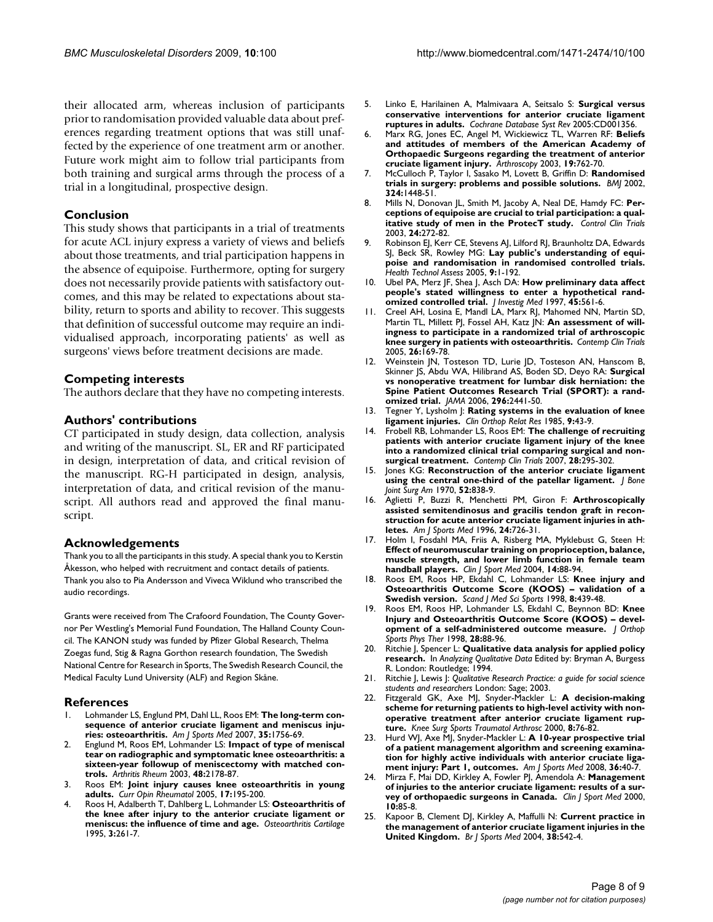their allocated arm, whereas inclusion of participants prior to randomisation provided valuable data about preferences regarding treatment options that was still unaffected by the experience of one treatment arm or another. Future work might aim to follow trial participants from both training and surgical arms through the process of a trial in a longitudinal, prospective design.

#### **Conclusion**

This study shows that participants in a trial of treatments for acute ACL injury express a variety of views and beliefs about those treatments, and trial participation happens in the absence of equipoise. Furthermore, opting for surgery does not necessarily provide patients with satisfactory outcomes, and this may be related to expectations about stability, return to sports and ability to recover. This suggests that definition of successful outcome may require an individualised approach, incorporating patients' as well as surgeons' views before treatment decisions are made.

#### **Competing interests**

The authors declare that they have no competing interests.

#### **Authors' contributions**

CT participated in study design, data collection, analysis and writing of the manuscript. SL, ER and RF participated in design, interpretation of data, and critical revision of the manuscript. RG-H participated in design, analysis, interpretation of data, and critical revision of the manuscript. All authors read and approved the final manuscript.

#### **Acknowledgements**

Thank you to all the participants in this study. A special thank you to Kerstin Åkesson, who helped with recruitment and contact details of patients. Thank you also to Pia Andersson and Viveca Wiklund who transcribed the audio recordings.

Grants were received from The Crafoord Foundation, The County Governor Per Westling's Memorial Fund Foundation, The Halland County Council. The KANON study was funded by Pfizer Global Research, Thelma Zoegas fund, Stig & Ragna Gorthon research foundation, The Swedish National Centre for Research in Sports, The Swedish Research Council, the Medical Faculty Lund University (ALF) and Region Skåne.

#### **References**

- <span id="page-7-0"></span>1. Lohmander LS, Englund PM, Dahl LL, Roos EM: **[The long-term con](http://www.ncbi.nlm.nih.gov/entrez/query.fcgi?cmd=Retrieve&db=PubMed&dopt=Abstract&list_uids=17761605)[sequence of anterior cruciate ligament and meniscus inju](http://www.ncbi.nlm.nih.gov/entrez/query.fcgi?cmd=Retrieve&db=PubMed&dopt=Abstract&list_uids=17761605)[ries: osteoarthritis.](http://www.ncbi.nlm.nih.gov/entrez/query.fcgi?cmd=Retrieve&db=PubMed&dopt=Abstract&list_uids=17761605)** *Am J Sports Med* 2007, **35:**1756-69.
- 2. Englund M, Roos EM, Lohmander LS: **[Impact of type of meniscal](http://www.ncbi.nlm.nih.gov/entrez/query.fcgi?cmd=Retrieve&db=PubMed&dopt=Abstract&list_uids=12905471) [tear on radiographic and symptomatic knee osteoarthritis: a](http://www.ncbi.nlm.nih.gov/entrez/query.fcgi?cmd=Retrieve&db=PubMed&dopt=Abstract&list_uids=12905471) sixteen-year followup of meniscectomy with matched con[trols.](http://www.ncbi.nlm.nih.gov/entrez/query.fcgi?cmd=Retrieve&db=PubMed&dopt=Abstract&list_uids=12905471)** *Arthritis Rheum* 2003, **48:**2178-87.
- 3. Roos EM: **[Joint injury causes knee osteoarthritis in young](http://www.ncbi.nlm.nih.gov/entrez/query.fcgi?cmd=Retrieve&db=PubMed&dopt=Abstract&list_uids=15711235) [adults.](http://www.ncbi.nlm.nih.gov/entrez/query.fcgi?cmd=Retrieve&db=PubMed&dopt=Abstract&list_uids=15711235)** *Curr Opin Rheumatol* 2005, **17:**195-200.
- <span id="page-7-1"></span>4. Roos H, Adalberth T, Dahlberg L, Lohmander LS: **[Osteoarthritis of](http://www.ncbi.nlm.nih.gov/entrez/query.fcgi?cmd=Retrieve&db=PubMed&dopt=Abstract&list_uids=8689461) [the knee after injury to the anterior cruciate ligament or](http://www.ncbi.nlm.nih.gov/entrez/query.fcgi?cmd=Retrieve&db=PubMed&dopt=Abstract&list_uids=8689461) [meniscus: the influence of time and age.](http://www.ncbi.nlm.nih.gov/entrez/query.fcgi?cmd=Retrieve&db=PubMed&dopt=Abstract&list_uids=8689461)** *Osteoarthritis Cartilage* 1995, **3:**261-7.
- <span id="page-7-2"></span>5. Linko E, Harilainen A, Malmivaara A, Seitsalo S: **[Surgical versus](http://www.ncbi.nlm.nih.gov/entrez/query.fcgi?cmd=Retrieve&db=PubMed&dopt=Abstract&list_uids=15846618) [conservative interventions for anterior cruciate ligament](http://www.ncbi.nlm.nih.gov/entrez/query.fcgi?cmd=Retrieve&db=PubMed&dopt=Abstract&list_uids=15846618) [ruptures in adults.](http://www.ncbi.nlm.nih.gov/entrez/query.fcgi?cmd=Retrieve&db=PubMed&dopt=Abstract&list_uids=15846618)** *Cochrane Database Syst Rev* 2005:CD001356.
- <span id="page-7-3"></span>6. Marx RG, Jones EC, Angel M, Wickiewicz TL, Warren RF: **[Beliefs](http://www.ncbi.nlm.nih.gov/entrez/query.fcgi?cmd=Retrieve&db=PubMed&dopt=Abstract&list_uids=12966385) [and attitudes of members of the American Academy of](http://www.ncbi.nlm.nih.gov/entrez/query.fcgi?cmd=Retrieve&db=PubMed&dopt=Abstract&list_uids=12966385) Orthopaedic Surgeons regarding the treatment of anterior [cruciate ligament injury.](http://www.ncbi.nlm.nih.gov/entrez/query.fcgi?cmd=Retrieve&db=PubMed&dopt=Abstract&list_uids=12966385)** *Arthroscopy* 2003, **19:**762-70.
- <span id="page-7-4"></span>7. McCulloch P, Taylor I, Sasako M, Lovett B, Griffin D: **[Randomised](http://www.ncbi.nlm.nih.gov/entrez/query.fcgi?cmd=Retrieve&db=PubMed&dopt=Abstract&list_uids=12065273) [trials in surgery: problems and possible solutions.](http://www.ncbi.nlm.nih.gov/entrez/query.fcgi?cmd=Retrieve&db=PubMed&dopt=Abstract&list_uids=12065273)** *BMJ* 2002, **324:**1448-51.
- <span id="page-7-5"></span>8. Mills N, Donovan JL, Smith M, Jacoby A, Neal DE, Hamdy FC: **[Per](http://www.ncbi.nlm.nih.gov/entrez/query.fcgi?cmd=Retrieve&db=PubMed&dopt=Abstract&list_uids=12757993)[ceptions of equipoise are crucial to trial participation: a qual](http://www.ncbi.nlm.nih.gov/entrez/query.fcgi?cmd=Retrieve&db=PubMed&dopt=Abstract&list_uids=12757993)[itative study of men in the ProtecT study.](http://www.ncbi.nlm.nih.gov/entrez/query.fcgi?cmd=Retrieve&db=PubMed&dopt=Abstract&list_uids=12757993)** *Control Clin Trials* 2003, **24:**272-82.
- 9. Robinson EJ, Kerr CE, Stevens AJ, Lilford RJ, Braunholtz DA, Edwards SJ, Beck SR, Rowley MG: **[Lay public's understanding of equi](http://www.ncbi.nlm.nih.gov/entrez/query.fcgi?cmd=Retrieve&db=PubMed&dopt=Abstract&list_uids=15763039)[poise and randomisation in randomised controlled trials.](http://www.ncbi.nlm.nih.gov/entrez/query.fcgi?cmd=Retrieve&db=PubMed&dopt=Abstract&list_uids=15763039)** *Health Technol Assess* 2005, **9:**1-192.
- <span id="page-7-6"></span>10. Ubel PA, Merz JF, Shea J, Asch DA: **[How preliminary data affect](http://www.ncbi.nlm.nih.gov/entrez/query.fcgi?cmd=Retrieve&db=PubMed&dopt=Abstract&list_uids=9444883) [people's stated willingness to enter a hypothetical rand](http://www.ncbi.nlm.nih.gov/entrez/query.fcgi?cmd=Retrieve&db=PubMed&dopt=Abstract&list_uids=9444883)[omized controlled trial.](http://www.ncbi.nlm.nih.gov/entrez/query.fcgi?cmd=Retrieve&db=PubMed&dopt=Abstract&list_uids=9444883)** *J Investig Med* 1997, **45:**561-6.
- <span id="page-7-7"></span>11. Creel AH, Losina E, Mandl LA, Marx RJ, Mahomed NN, Martin SD, Martin TL, Millett Pl, Fossel AH, Katz IN: [An assessment of will](http://www.ncbi.nlm.nih.gov/entrez/query.fcgi?cmd=Retrieve&db=PubMed&dopt=Abstract&list_uids=15837439)**[ingness to participate in a randomized trial of arthroscopic](http://www.ncbi.nlm.nih.gov/entrez/query.fcgi?cmd=Retrieve&db=PubMed&dopt=Abstract&list_uids=15837439) [knee surgery in patients with osteoarthritis.](http://www.ncbi.nlm.nih.gov/entrez/query.fcgi?cmd=Retrieve&db=PubMed&dopt=Abstract&list_uids=15837439)** *Contemp Clin Trials* 2005, **26:**169-78.
- <span id="page-7-8"></span>12. Weinstein JN, Tosteson TD, Lurie JD, Tosteson AN, Hanscom B, Skinner JS, Abdu WA, Hilibrand AS, Boden SD, Deyo RA: **[Surgical](http://www.ncbi.nlm.nih.gov/entrez/query.fcgi?cmd=Retrieve&db=PubMed&dopt=Abstract&list_uids=17119140) [vs nonoperative treatment for lumbar disk herniation: the](http://www.ncbi.nlm.nih.gov/entrez/query.fcgi?cmd=Retrieve&db=PubMed&dopt=Abstract&list_uids=17119140) Spine Patient Outcomes Research Trial (SPORT): a rand[omized trial.](http://www.ncbi.nlm.nih.gov/entrez/query.fcgi?cmd=Retrieve&db=PubMed&dopt=Abstract&list_uids=17119140)** *JAMA* 2006, **296:**2441-50.
- <span id="page-7-9"></span>13. Tegner Y, Lysholm J: **Rating systems in the evaluation of knee ligament injuries.** *Clin Orthop Relat Res* 1985, **9:**43-9.
- <span id="page-7-10"></span>14. Frobell RB, Lohmander LS, Roos EM: **[The challenge of recruiting](http://www.ncbi.nlm.nih.gov/entrez/query.fcgi?cmd=Retrieve&db=PubMed&dopt=Abstract&list_uids=17137844) [patients with anterior cruciate ligament injury of the knee](http://www.ncbi.nlm.nih.gov/entrez/query.fcgi?cmd=Retrieve&db=PubMed&dopt=Abstract&list_uids=17137844) into a randomized clinical trial comparing surgical and non[surgical treatment.](http://www.ncbi.nlm.nih.gov/entrez/query.fcgi?cmd=Retrieve&db=PubMed&dopt=Abstract&list_uids=17137844)** *Contemp Clin Trials* 2007, **28:**295-302.
- <span id="page-7-11"></span>15. Jones KG: **[Reconstruction of the anterior cruciate ligament](http://www.ncbi.nlm.nih.gov/entrez/query.fcgi?cmd=Retrieve&db=PubMed&dopt=Abstract&list_uids=5479469) [using the central one-third of the patellar ligament.](http://www.ncbi.nlm.nih.gov/entrez/query.fcgi?cmd=Retrieve&db=PubMed&dopt=Abstract&list_uids=5479469)** *J Bone Joint Surg Am* 1970, **52:**838-9.
- <span id="page-7-12"></span>16. Aglietti P, Buzzi R, Menchetti PM, Giron F: **[Arthroscopically](http://www.ncbi.nlm.nih.gov/entrez/query.fcgi?cmd=Retrieve&db=PubMed&dopt=Abstract&list_uids=8947392) [assisted semitendinosus and gracilis tendon graft in recon](http://www.ncbi.nlm.nih.gov/entrez/query.fcgi?cmd=Retrieve&db=PubMed&dopt=Abstract&list_uids=8947392)struction for acute anterior cruciate ligament injuries in ath[letes.](http://www.ncbi.nlm.nih.gov/entrez/query.fcgi?cmd=Retrieve&db=PubMed&dopt=Abstract&list_uids=8947392)** *Am J Sports Med* 1996, **24:**726-31.
- <span id="page-7-13"></span>17. Holm I, Fosdahl MA, Friis A, Risberg MA, Myklebust G, Steen H: **[Effect of neuromuscular training on proprioception, balance,](http://www.ncbi.nlm.nih.gov/entrez/query.fcgi?cmd=Retrieve&db=PubMed&dopt=Abstract&list_uids=15014342) muscle strength, and lower limb function in female team [handball players.](http://www.ncbi.nlm.nih.gov/entrez/query.fcgi?cmd=Retrieve&db=PubMed&dopt=Abstract&list_uids=15014342)** *Clin J Sport Med* 2004, **14:**88-94.
- <span id="page-7-14"></span>18. Roos EM, Roos HP, Ekdahl C, Lohmander LS: **[Knee injury and](http://www.ncbi.nlm.nih.gov/entrez/query.fcgi?cmd=Retrieve&db=PubMed&dopt=Abstract&list_uids=9863983) [Osteoarthritis Outcome Score \(KOOS\) – validation of a](http://www.ncbi.nlm.nih.gov/entrez/query.fcgi?cmd=Retrieve&db=PubMed&dopt=Abstract&list_uids=9863983) [Swedish version.](http://www.ncbi.nlm.nih.gov/entrez/query.fcgi?cmd=Retrieve&db=PubMed&dopt=Abstract&list_uids=9863983)** *Scand J Med Sci Sports* 1998, **8:**439-48.
- <span id="page-7-15"></span>19. Roos EM, Roos HP, Lohmander LS, Ekdahl C, Beynnon BD: **[Knee](http://www.ncbi.nlm.nih.gov/entrez/query.fcgi?cmd=Retrieve&db=PubMed&dopt=Abstract&list_uids=9699158) [Injury and Osteoarthritis Outcome Score \(KOOS\) – devel](http://www.ncbi.nlm.nih.gov/entrez/query.fcgi?cmd=Retrieve&db=PubMed&dopt=Abstract&list_uids=9699158)[opment of a self-administered outcome measure.](http://www.ncbi.nlm.nih.gov/entrez/query.fcgi?cmd=Retrieve&db=PubMed&dopt=Abstract&list_uids=9699158)** *J Orthop Sports Phys Ther* 1998, **28:**88-96.
- <span id="page-7-16"></span>20. Ritchie J, Spencer L: **Qualitative data analysis for applied policy research.** In *Analyzing Qualitative Data* Edited by: Bryman A, Burgess R. London: Routledge; 1994.
- <span id="page-7-17"></span>21. Ritchie J, Lewis J: *Qualitative Research Practice: a guide for social science students and researchers* London: Sage; 2003.
- <span id="page-7-18"></span>22. Fitzgerald GK, Axe MJ, Snyder-Mackler L: **[A decision-making](http://www.ncbi.nlm.nih.gov/entrez/query.fcgi?cmd=Retrieve&db=PubMed&dopt=Abstract&list_uids=10795668) [scheme for returning patients to high-level activity with non](http://www.ncbi.nlm.nih.gov/entrez/query.fcgi?cmd=Retrieve&db=PubMed&dopt=Abstract&list_uids=10795668)operative treatment after anterior cruciate ligament rup[ture.](http://www.ncbi.nlm.nih.gov/entrez/query.fcgi?cmd=Retrieve&db=PubMed&dopt=Abstract&list_uids=10795668)** *Knee Surg Sports Traumatol Arthrosc* 2000, **8:**76-82.
- <span id="page-7-19"></span>23. Hurd WJ, Axe MJ, Snyder-Mackler L: **[A 10-year prospective trial](http://www.ncbi.nlm.nih.gov/entrez/query.fcgi?cmd=Retrieve&db=PubMed&dopt=Abstract&list_uids=17940141) [of a patient management algorithm and screening examina](http://www.ncbi.nlm.nih.gov/entrez/query.fcgi?cmd=Retrieve&db=PubMed&dopt=Abstract&list_uids=17940141)tion for highly active individuals with anterior cruciate liga[ment injury: Part 1, outcomes.](http://www.ncbi.nlm.nih.gov/entrez/query.fcgi?cmd=Retrieve&db=PubMed&dopt=Abstract&list_uids=17940141)** *Am J Sports Med* 2008, **36:**40-7.
- <span id="page-7-20"></span>24. Mirza F, Mai DD, Kirkley A, Fowler PJ, Amendola A: **[Management](http://www.ncbi.nlm.nih.gov/entrez/query.fcgi?cmd=Retrieve&db=PubMed&dopt=Abstract&list_uids=10798788) [of injuries to the anterior cruciate ligament: results of a sur](http://www.ncbi.nlm.nih.gov/entrez/query.fcgi?cmd=Retrieve&db=PubMed&dopt=Abstract&list_uids=10798788)[vey of orthopaedic surgeons in Canada.](http://www.ncbi.nlm.nih.gov/entrez/query.fcgi?cmd=Retrieve&db=PubMed&dopt=Abstract&list_uids=10798788)** *Clin J Sport Med* 2000, **10:**85-8.
- <span id="page-7-21"></span>25. Kapoor B, Clement DJ, Kirkley A, Maffulli N: **[Current practice in](http://www.ncbi.nlm.nih.gov/entrez/query.fcgi?cmd=Retrieve&db=PubMed&dopt=Abstract&list_uids=15388535) [the management of anterior cruciate ligament injuries in the](http://www.ncbi.nlm.nih.gov/entrez/query.fcgi?cmd=Retrieve&db=PubMed&dopt=Abstract&list_uids=15388535) [United Kingdom.](http://www.ncbi.nlm.nih.gov/entrez/query.fcgi?cmd=Retrieve&db=PubMed&dopt=Abstract&list_uids=15388535)** *Br J Sports Med* 2004, **38:**542-4.